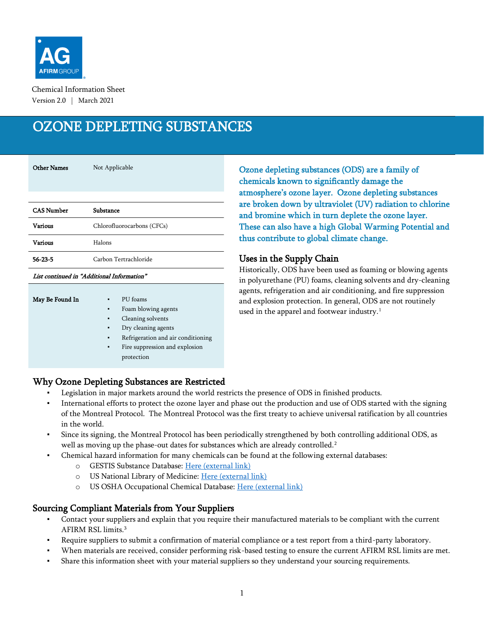

Chemical Information Sheet Version 2.0 | March 2021

# OZONE DEPLETING SUBSTANCES

| <b>Other Names</b> | Not Applicable             |
|--------------------|----------------------------|
|                    |                            |
| <b>CAS Number</b>  | Substance                  |
| <b>Various</b>     | Chlorofluorocarbons (CFCs) |
| <b>Various</b>     | Halons                     |
| $56 - 23 - 5$      | Carbon Tertrachloride      |

#### List continued in "Additional Information"

| May Be Found In | ٠              | PU foams                           |
|-----------------|----------------|------------------------------------|
|                 | ٠              | Foam blowing agents                |
|                 | ٠              | Cleaning solvents                  |
|                 | ٠              | Dry cleaning agents                |
|                 | ٠              | Refrigeration and air conditioning |
|                 | $\blacksquare$ | Fire suppression and explosion     |
|                 |                | protection                         |
|                 |                |                                    |

Ozone depleting substances (ODS) are a family of chemicals known to significantly damage the atmosphere's ozone layer. Ozone depleting substances are broken down by ultraviolet (UV) radiation to chlorine and bromine which in turn deplete the ozone layer. These can also have a high Global Warming Potential and thus contribute to global climate change.

#### Uses in the Supply Chain

Historically, ODS have been used as foaming or blowing agents in polyurethane (PU) foams, cleaning solvents and dry-cleaning agents, refrigeration and air conditioning, and fire suppression and explosion protection. In general, ODS are not routinely used in the apparel and footwear industry.<sup>1</sup>

# Why Ozone Depleting Substances are Restricted

- Legislation in major markets around the world restricts the presence of ODS in finished products.
- International efforts to protect the ozone layer and phase out the production and use of ODS started with the signing of the Montreal Protocol. The Montreal Protocol was the first treaty to achieve universal ratification by all countries in the world.
- Since its signing, the Montreal Protocol has been periodically strengthened by both controlling additional ODS, as well as moving up the phase-out dates for substances which are already controlled.<sup>2</sup>
- Chemical hazard information for many chemicals can be found at the following external databases:
	- o GESTIS Substance Database: [Here \(external link\)](https://gestis-database.dguv.de/search)
	- o US National Library of Medicine: [Here \(external link\)](https://pubchem.ncbi.nlm.nih.gov/)
	- o US OSHA Occupational Chemical Database: [Here \(external link\)](https://www.osha.gov/chemicaldata/index.html)

### Sourcing Compliant Materials from Your Suppliers

- Contact your suppliers and explain that you require their manufactured materials to be compliant with the current AFIRM RSL limits. 3
- Require suppliers to submit a confirmation of material compliance or a test report from a third-party laboratory.
- When materials are received, consider performing risk-based testing to ensure the current AFIRM RSL limits are met.
- Share this information sheet with your material suppliers so they understand your sourcing requirements.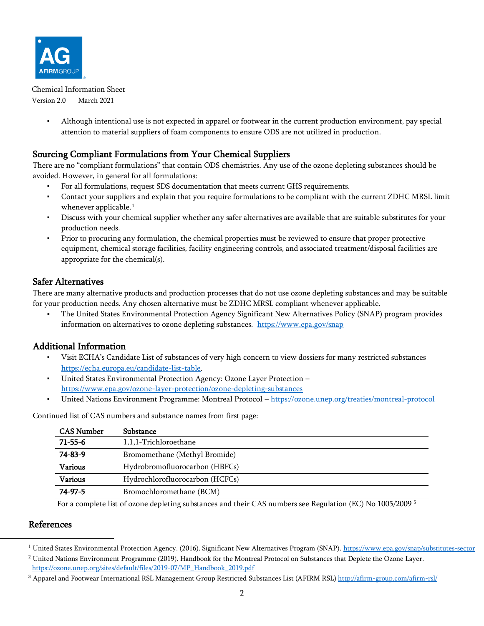

Chemical Information Sheet Version 2.0 | March 2021

> ▪ Although intentional use is not expected in apparel or footwear in the current production environment, pay special attention to material suppliers of foam components to ensure ODS are not utilized in production.

## Sourcing Compliant Formulations from Your Chemical Suppliers

There are no "compliant formulations" that contain ODS chemistries. Any use of the ozone depleting substances should be avoided. However, in general for all formulations:

- For all formulations, request SDS documentation that meets current GHS requirements.
- Contact your suppliers and explain that you require formulations to be compliant with the current ZDHC MRSL limit whenever applicable.<sup>4</sup>
- Discuss with your chemical supplier whether any safer alternatives are available that are suitable substitutes for your production needs.
- Prior to procuring any formulation, the chemical properties must be reviewed to ensure that proper protective equipment, chemical storage facilities, facility engineering controls, and associated treatment/disposal facilities are appropriate for the chemical(s).

### Safer Alternatives

There are many alternative products and production processes that do not use ozone depleting substances and may be suitable for your production needs. Any chosen alternative must be ZDHC MRSL compliant whenever applicable.

The United States Environmental Protection Agency Significant New Alternatives Policy (SNAP) program provides information on alternatives to ozone depleting substances. <https://www.epa.gov/snap>

### Additional Information

- Visit ECHA's Candidate List of substances of very high concern to view dossiers for many restricted substances [https://echa.europa.eu/candidate-list-table.](https://echa.europa.eu/candidate-list-table)
- United States Environmental Protection Agency: Ozone Layer Protection <https://www.epa.gov/ozone-layer-protection/ozone-depleting-substances>
- United Nations Environment Programme: Montreal Protocol <https://ozone.unep.org/treaties/montreal-protocol>

| <b>CAS Number</b> | Substance                       |
|-------------------|---------------------------------|
| $71 - 55 - 6$     | 1,1,1-Trichloroethane           |
| 74-83-9           | Bromomethane (Methyl Bromide)   |
| <b>Various</b>    | Hydrobromofluorocarbon (HBFCs)  |
| <b>Various</b>    | Hydrochlorofluorocarbon (HCFCs) |
| 74-97-5           | Bromochloromethane (BCM)        |

Continued list of CAS numbers and substance names from first page:

For a complete list of ozone depleting substances and their CAS numbers see Regulation (EC) No 1005/2009 <sup>5</sup>

#### References

<sup>2</sup> United Nations Environment Programme (2019). Handbook for the Montreal Protocol on Substances that Deplete the Ozone Layer. [https://ozone.unep.org/sites/default/files/2019-07/MP\\_Handbook\\_2019.pdf](https://ozone.unep.org/sites/default/files/2019-07/MP_Handbook_2019.pdf) 

<sup>&</sup>lt;sup>1</sup> United States Environmental Protection Agency. (2016). Significant New Alternatives Program (SNAP). <https://www.epa.gov/snap/substitutes-sector>

<sup>&</sup>lt;sup>3</sup> Apparel and Footwear International RSL Management Group Restricted Substances List (AFIRM RSL) <http://afirm-group.com/afirm-rsl/>